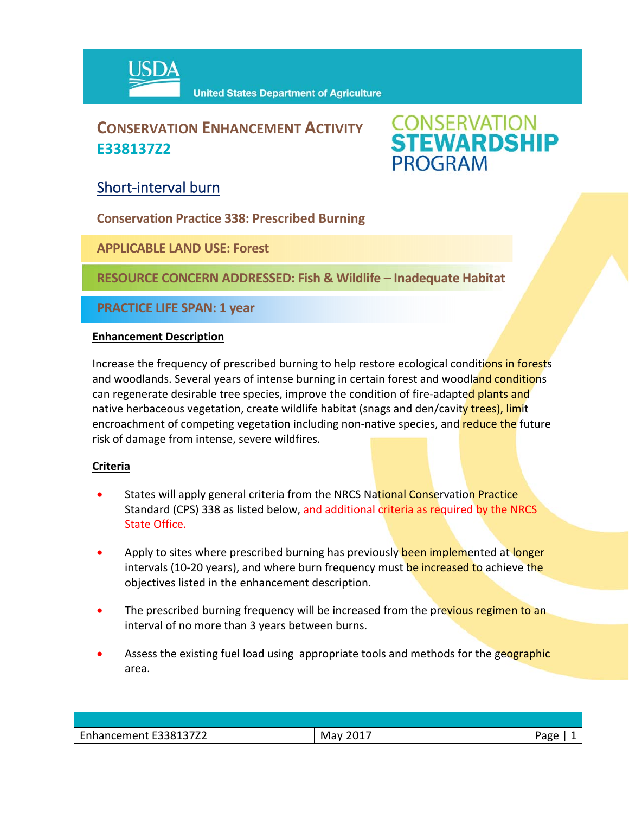

## **CONSERVATION ENHANCEMENT ACTIVITY E338137Z2**

# **CONSERVATION<br>STEWARDSHIP PROGRAM**

### Short‐interval burn

**Conservation Practice 338: Prescribed Burning**

**APPLICABLE LAND USE: Forest**

**RESOURCE CONCERN ADDRESSED: Fish & Wildlife – Inadequate Habitat**

**PRACTICE LIFE SPAN: 1 year**

#### **Enhancement Description**

Increase the frequency of prescribed burning to help restore ecological conditions in forests and woodlands. Several years of intense burning in certain forest and woodland conditions can regenerate desirable tree species, improve the condition of fire-adapted plants and native herbaceous vegetation, create wildlife habitat (snags and den/cavity trees), limit encroachment of competing vegetation including non-native species, and reduce the future risk of damage from intense, severe wildfires.

#### **Criteria**

- States will apply general criteria from the NRCS National Conservation Practice Standard (CPS) 338 as listed below, and additional criteria as required by the NRCS State Office.
- Apply to sites where prescribed burning has previously been implemented at longer intervals (10-20 years), and where burn frequency must be increased to achieve the objectives listed in the enhancement description.
- The prescribed burning frequency will be increased from the previous regimen to an interval of no more than 3 years between burns.
- Assess the existing fuel load using appropriate tools and methods for the geographic area.

| <b>E22012772</b><br>$\overline{\phantom{a}}$<br>Enhancement E338137Z2 | 2017<br>Mav | age |
|-----------------------------------------------------------------------|-------------|-----|
|                                                                       |             |     |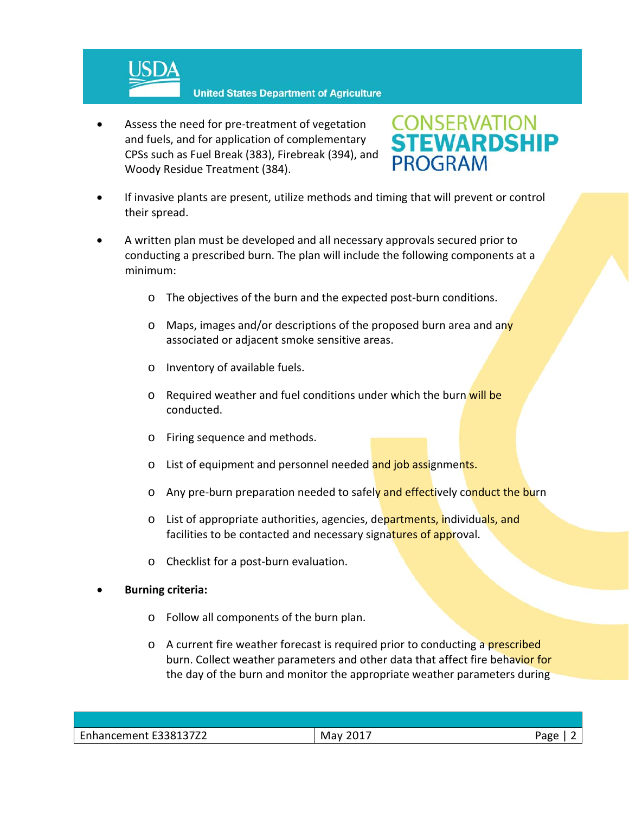

**United States Department of Agriculture** 

 Assess the need for pre‐treatment of vegetation and fuels, and for application of complementary CPSs such as Fuel Break (383), Firebreak (394), and Woody Residue Treatment (384).



- If invasive plants are present, utilize methods and timing that will prevent or control their spread.
- A written plan must be developed and all necessary approvals secured prior to conducting a prescribed burn. The plan will include the following components at a minimum:
	- o The objectives of the burn and the expected post‐burn conditions.
	- o Maps, images and/or descriptions of the proposed burn area and any associated or adjacent smoke sensitive areas.
	- o Inventory of available fuels.
	- o Required weather and fuel conditions under which the burn will be conducted.
	- o Firing sequence and methods.
	- o List of equipment and personnel needed and job assignments.
	- o Any pre-burn preparation needed to safely and effectively conduct the burn
	- o List of appropriate authorities, agencies, departments, individuals, and facilities to be contacted and necessary signatures of approval.
	- o Checklist for a post‐burn evaluation.

#### **Burning criteria:**

- o Follow all components of the burn plan.
- $\circ$  A current fire weather forecast is required prior to conducting a prescribed burn. Collect weather parameters and other data that affect fire behavior for the day of the burn and monitor the appropriate weather parameters during

| F33813772<br>$\overline{\phantom{0}}$<br>nancement<br>UJ / 44<br>. | 01<br>Mav | $1 - 7$<br>ਜਸ਼ਦ<br>ີດ |
|--------------------------------------------------------------------|-----------|-----------------------|